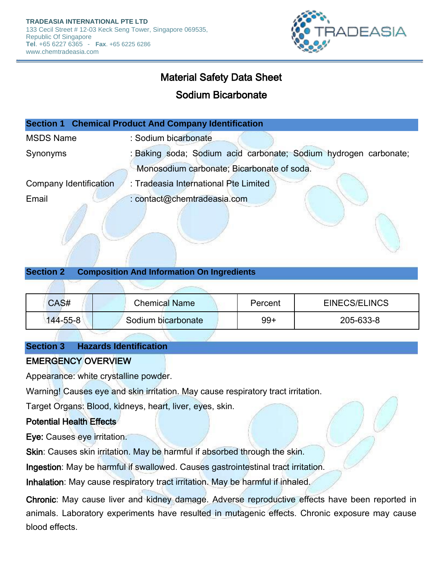

# Material Safety Data Sheet

# Sodium Bicarbonate

| <b>Section 1 Chemical Product And Company Identification</b> |                                                                  |  |
|--------------------------------------------------------------|------------------------------------------------------------------|--|
| <b>MSDS Name</b>                                             | : Sodium bicarbonate                                             |  |
| Synonyms                                                     | : Baking soda; Sodium acid carbonate; Sodium hydrogen carbonate; |  |
|                                                              | Monosodium carbonate; Bicarbonate of soda.                       |  |
| <b>Company Identification</b>                                | : Tradeasia International Pte Limited                            |  |
| Email                                                        | : contact@chemtradeasia.com                                      |  |
|                                                              |                                                                  |  |

| <b>Section 2</b> |  | <b>Composition And Information On Ingredients</b> |  |
|------------------|--|---------------------------------------------------|--|
|------------------|--|---------------------------------------------------|--|

| CAS#     | <b>Chemical Name</b> | Percent | EINECS/ELINCS |
|----------|----------------------|---------|---------------|
| 144-55-8 | Sodium bicarbonate   | $99+$   | 205-633-8     |

### **Section 3 Hazards Identification**

# EMERGENCY OVERVIEW

Appearance: white crystalline powder.

Warning! Causes eye and skin irritation. May cause respiratory tract irritation.

Target Organs: Blood, kidneys, heart, liver, eyes, skin.

# Potential Health Effects

Eye: Causes eye irritation.

Skin: Causes skin irritation. May be harmful if absorbed through the skin.

Ingestion: May be harmful if swallowed. Causes gastrointestinal tract irritation.

Inhalation: May cause respiratory tract irritation. May be harmful if inhaled.

Chronic: May cause liver and kidney damage. Adverse reproductive effects have been reported in animals. Laboratory experiments have resulted in mutagenic effects. Chronic exposure may cause blood effects.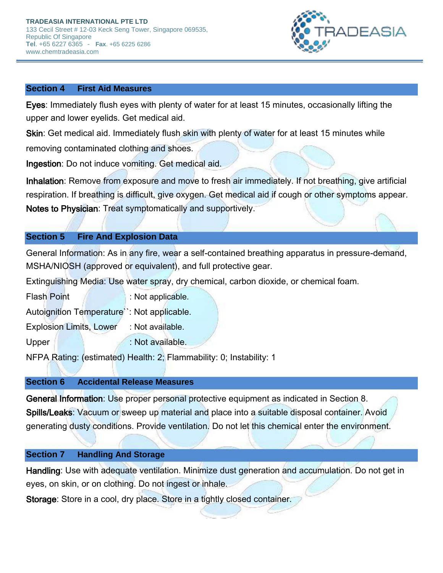

#### **Section 4 First Aid Measures**

Eyes: Immediately flush eyes with plenty of water for at least 15 minutes, occasionally lifting the upper and lower eyelids. Get medical aid.

Skin: Get medical aid. Immediately flush skin with plenty of water for at least 15 minutes while removing contaminated clothing and shoes.

Ingestion: Do not induce vomiting. Get medical aid.

Inhalation: Remove from exposure and move to fresh air immediately. If not breathing, give artificial respiration. If breathing is difficult, give oxygen. Get medical aid if cough or other symptoms appear. Notes to Physician: Treat symptomatically and supportively.

### **Section 5 Fire And Explosion Data**

General Information: As in any fire, wear a self-contained breathing apparatus in pressure-demand, MSHA/NIOSH (approved or equivalent), and full protective gear.

Extinguishing Media: Use water spray, dry chemical, carbon dioxide, or chemical foam.

Flash Point / : Not applicable.

Autoignition Temperature``: Not applicable.

Explosion Limits, Lower : Not available.

Upper | Not available.

NFPA Rating: (estimated) Health: 2; Flammability: 0; Instability: 1

### **Section 6 Accidental Release Measures**

General Information: Use proper personal protective equipment as indicated in Section 8. Spills/Leaks: Vacuum or sweep up material and place into a suitable disposal container. Avoid generating dusty conditions. Provide ventilation. Do not let this chemical enter the environment.

### **Section 7 Handling And Storage**

Handling: Use with adequate ventilation. Minimize dust generation and accumulation. Do not get in eyes, on skin, or on clothing. Do not ingest or inhale.

Storage: Store in a cool, dry place. Store in a tightly closed container.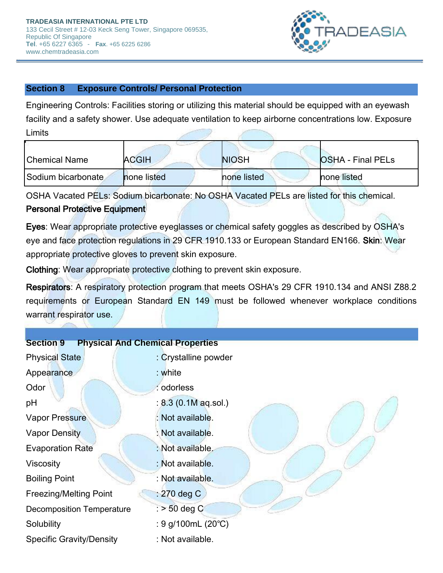

#### **Section 8 Exposure Controls/ Personal Protection**

Engineering Controls: Facilities storing or utilizing this material should be equipped with an eyewash facility and a safety shower. Use adequate ventilation to keep airborne concentrations low. Exposure Limits

| <b>Chemical Name</b> | <b>ACGIH</b> | <b>NIOSH</b> | <b>OSHA - Final PELs</b> |
|----------------------|--------------|--------------|--------------------------|
| Sodium bicarbonate   | none listed  | none listed  | none listed              |

OSHA Vacated PELs: Sodium bicarbonate: No OSHA Vacated PELs are listed for this chemical.

### Personal Protective Equipment

Eyes: Wear appropriate protective eyeglasses or chemical safety goggles as described by OSHA's eye and face protection regulations in 29 CFR 1910.133 or European Standard EN166. Skin: Wear appropriate protective gloves to prevent skin exposure.

Clothing: Wear appropriate protective clothing to prevent skin exposure.

Respirators: A respiratory protection program that meets OSHA's 29 CFR 1910.134 and ANSI Z88.2 requirements or European Standard EN 149 must be followed whenever workplace conditions warrant respirator use.

| <b>Section 9</b><br><b>Physical And Chemical Properties</b> |                      |
|-------------------------------------------------------------|----------------------|
| <b>Physical State</b>                                       | : Crystalline powder |
| Appearance                                                  | $:$ white            |
| Odor                                                        | : odorless           |
| pH                                                          | : 8.3 (0.1M aq.sol.) |
| Vapor Pressure                                              | : Not available.     |
| <b>Vapor Density</b>                                        | : Not available.     |
| <b>Evaporation Rate</b>                                     | : Not available.     |
| Viscosity                                                   | : Not available.     |
| <b>Boiling Point</b>                                        | : Not available.     |
| <b>Freezing/Melting Point</b>                               | : 270 deg C          |
| <b>Decomposition Temperature</b>                            | $:$ > 50 deg C       |
| Solubility                                                  | : 9 g/100mL (20°C)   |
| <b>Specific Gravity/Density</b>                             | : Not available.     |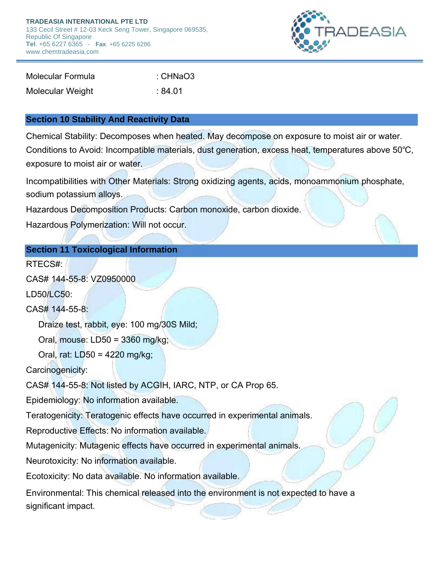

| Molecular Formula | : CHNaO3 |
|-------------------|----------|
| Molecular Weight  | :84.01   |

### **Section 10 Stability And Reactivity Data**

Chemical Stability: Decomposes when heated. May decompose on exposure to moist air or water. Conditions to Avoid: Incompatible materials, dust generation, excess heat, temperatures above 50℃, exposure to moist air or water.

Incompatibilities with Other Materials: Strong oxidizing agents, acids, monoammonium phosphate, sodium potassium alloys.

Hazardous Decomposition Products: Carbon monoxide, carbon dioxide.

Hazardous Polymerization: Will not occur.

## **Section 11 Toxicological Information**

RTECS#:

CAS# 144-55-8: VZ0950000

LD50/LC50:

CAS# 144-55-8:

Draize test, rabbit, eye: 100 mg/30S Mild;

Oral, mouse: LD50 = 3360 mg/kg;

Oral, rat: LD50 = 4220 mg/kg;

Carcinogenicity:

CAS# 144-55-8: Not listed by ACGIH, IARC, NTP, or CA Prop 65.

Epidemiology: No information available.

Teratogenicity: Teratogenic effects have occurred in experimental animals.

Reproductive Effects: No information available.

Mutagenicity: Mutagenic effects have occurred in experimental animals.

Neurotoxicity: No information available.

Ecotoxicity: No data available. No information available.

Environmental: This chemical released into the environment is not expected to have a significant impact.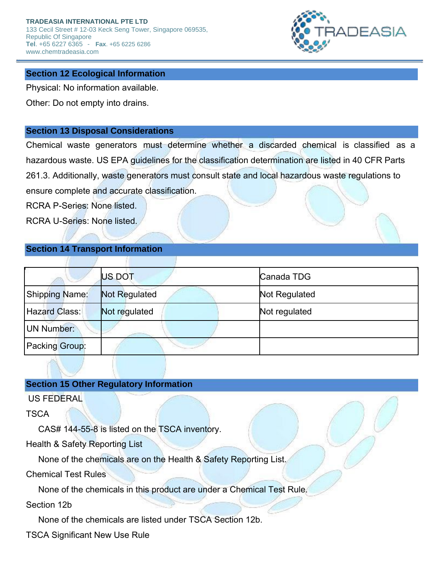

### **Section 12 Ecological Information**

Physical: No information available.

Other: Do not empty into drains.

#### **Section 13 Disposal Considerations**

Chemical waste generators must determine whether a discarded chemical is classified as a hazardous waste. US EPA guidelines for the classification determination are listed in 40 CFR Parts 261.3. Additionally, waste generators must consult state and local hazardous waste regulations to ensure complete and accurate classification.

RCRA P-Series: None listed.

RCRA U-Series: None listed.

### **Section 14 Transport Information**

|                       | <b>US DOT</b>        | Canada TDG    |
|-----------------------|----------------------|---------------|
| <b>Shipping Name:</b> | <b>Not Regulated</b> | Not Regulated |
| <b>Hazard Class:</b>  | Not regulated        | Not regulated |
| UN Number:            |                      |               |
| <b>Packing Group:</b> |                      |               |

### **Section 15 Other Regulatory Information**

US FEDERAL

**TSCA** 

CAS# 144-55-8 is listed on the TSCA inventory.

n

Health & Safety Reporting List

None of the chemicals are on the Health & Safety Reporting List.

Chemical Test Rules

None of the chemicals in this product are under a Chemical Test Rule.

Section 12b

None of the chemicals are listed under TSCA Section 12b.

TSCA Significant New Use Rule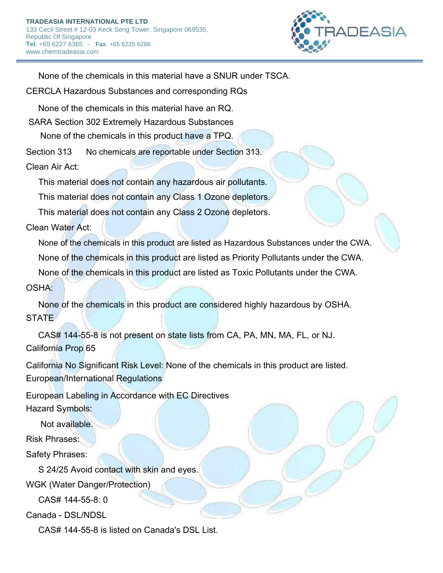

None of the chemicals in this material have a SNUR under TSCA.

CERCLA Hazardous Substances and corresponding RQs

None of the chemicals in this material have an RQ.

SARA Section 302 Extremely Hazardous Substances

None of the chemicals in this product have a TPQ.

Section 313 No chemicals are reportable under Section 313.

Clean Air Act:

This material does not contain any hazardous air pollutants.

This material does not contain any Class 1 Ozone depletors.

This material does not contain any Class 2 Ozone depletors.

Clean Water Act:

None of the chemicals in this product are listed as Hazardous Substances under the CWA.

None of the chemicals in this product are listed as Priority Pollutants under the CWA.

None of the chemicals in this product are listed as Toxic Pollutants under the CWA.

OSHA:

None of the chemicals in this product are considered highly hazardous by OSHA. **STATE** 

CAS# 144-55-8 is not present on state lists from CA, PA, MN, MA, FL, or NJ. California Prop 65

California No Significant Risk Level: None of the chemicals in this product are listed. European/International Regulations

European Labeling in Accordance with EC Directives Hazard Symbols:

Not available.

Risk Phrases:

Safety Phrases:

S 24/25 Avoid contact with skin and eyes.

WGK (Water Danger/Protection)

CAS# 144-55-8: 0

Canada - DSL/NDSL

CAS# 144-55-8 is listed on Canada's DSL List.